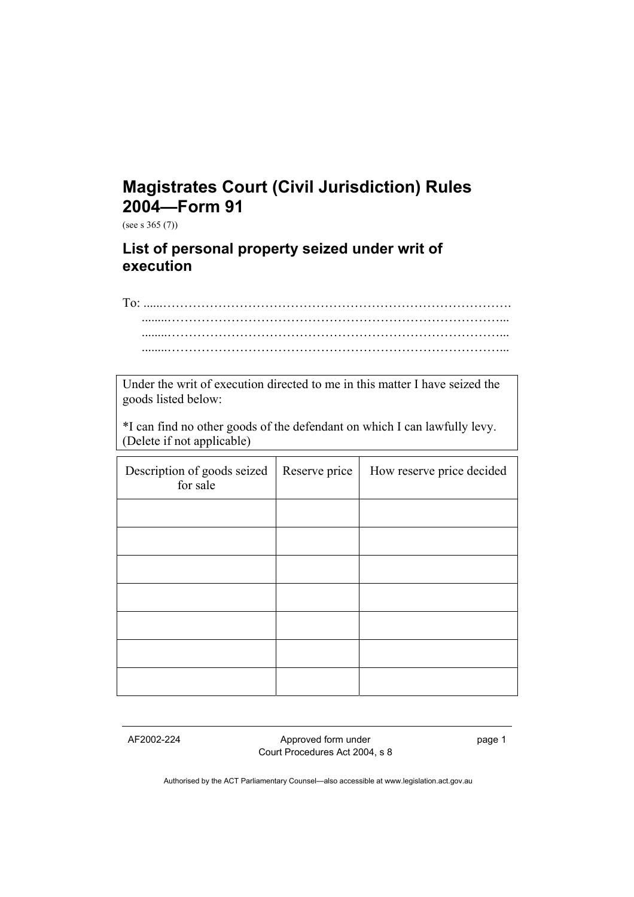## **Magistrates Court (Civil Jurisdiction) Rules 2004—Form 91**

(see s 365 (7))

## **List of personal property seized under writ of execution**

To: ........……………………………………………………………………... ........……………………………………………………………………...

Under the writ of execution directed to me in this matter I have seized the goods listed below:

\*I can find no other goods of the defendant on which I can lawfully levy. (Delete if not applicable)

| Description of goods seized<br>for sale | Reserve price | How reserve price decided |
|-----------------------------------------|---------------|---------------------------|
|                                         |               |                           |
|                                         |               |                           |
|                                         |               |                           |
|                                         |               |                           |
|                                         |               |                           |
|                                         |               |                           |
|                                         |               |                           |

AF2002-224 Approved form under Court Procedures Act 2004, s 8 page 1

Authorised by the ACT Parliamentary Counsel—also accessible at www.legislation.act.gov.au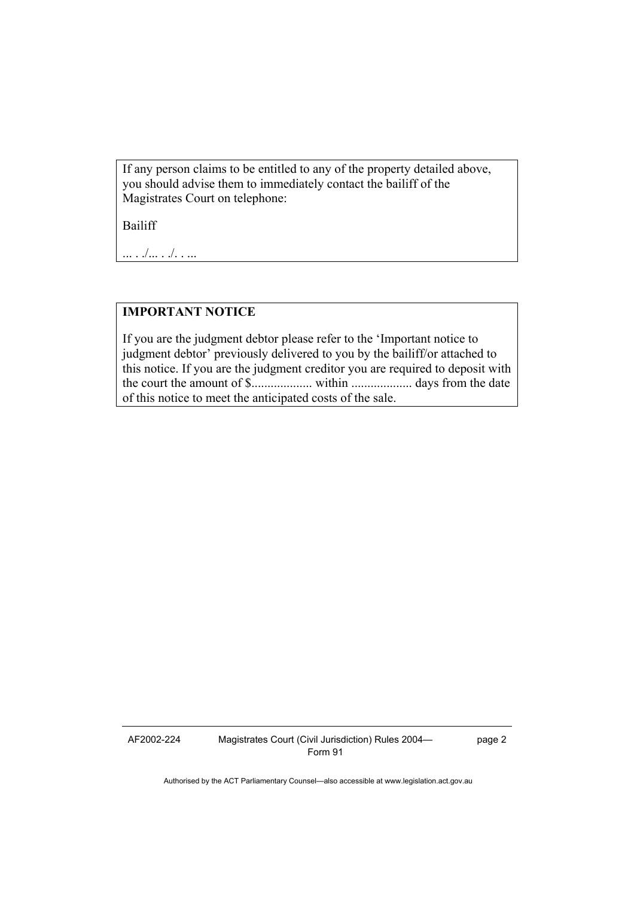If any person claims to be entitled to any of the property detailed above, you should advise them to immediately contact the bailiff of the Magistrates Court on telephone:

Bailiff

... . ./... . ./. . ...

## **IMPORTANT NOTICE**

If you are the judgment debtor please refer to the 'Important notice to judgment debtor' previously delivered to you by the bailiff/or attached to this notice. If you are the judgment creditor you are required to deposit with the court the amount of \$................... within ................... days from the date of this notice to meet the anticipated costs of the sale.

AF2002-224 Magistrates Court (Civil Jurisdiction) Rules 2004— Form 91

page 2

Authorised by the ACT Parliamentary Counsel—also accessible at www.legislation.act.gov.au